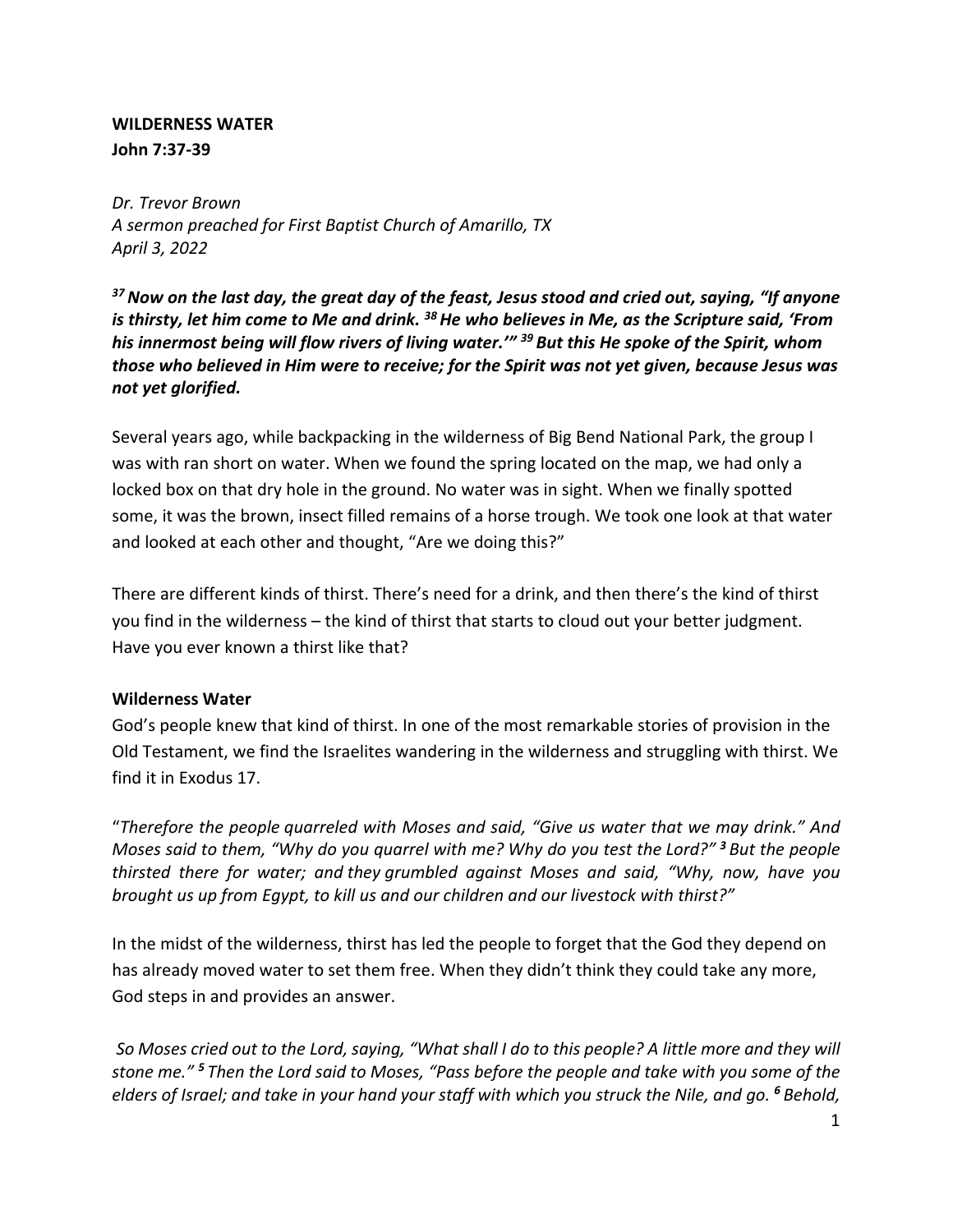### **WILDERNESS WATER John 7:37-39**

*Dr. Trevor Brown A sermon preached for First Baptist Church of Amarillo, TX April 3, 2022*

*37Now on the last day, the great day of the feast, Jesus stood and cried out, saying, "If anyone is thirsty, let him come to Me and drink. 38He who believes in Me, as the Scripture said, 'From his innermost being will flow rivers of living water.'" <sup>39</sup> But this He spoke of the Spirit, whom those who believed in Him were to receive; for the Spirit was not yet given, because Jesus was not yet glorified.*

Several years ago, while backpacking in the wilderness of Big Bend National Park, the group I was with ran short on water. When we found the spring located on the map, we had only a locked box on that dry hole in the ground. No water was in sight. When we finally spotted some, it was the brown, insect filled remains of a horse trough. We took one look at that water and looked at each other and thought, "Are we doing this?"

There are different kinds of thirst. There's need for a drink, and then there's the kind of thirst you find in the wilderness – the kind of thirst that starts to cloud out your better judgment. Have you ever known a thirst like that?

### **Wilderness Water**

God's people knew that kind of thirst. In one of the most remarkable stories of provision in the Old Testament, we find the Israelites wandering in the wilderness and struggling with thirst. We find it in Exodus 17.

"*Therefore the people quarreled with Moses and said, "Give us water that we may drink." And Moses said to them, "Why do you quarrel with me? Why do you test the Lord?" <sup>3</sup> But the people thirsted there for water; and they grumbled against Moses and said, "Why, now, have you brought us up from Egypt, to kill us and our children and our livestock with thirst?"*

In the midst of the wilderness, thirst has led the people to forget that the God they depend on has already moved water to set them free. When they didn't think they could take any more, God steps in and provides an answer.

*So Moses cried out to the Lord, saying, "What shall I do to this people? A little more and they will stone me." <sup>5</sup> Then the Lord said to Moses, "Pass before the people and take with you some of the elders of Israel; and take in your hand your staff with which you struck the Nile, and go. <sup>6</sup> Behold,*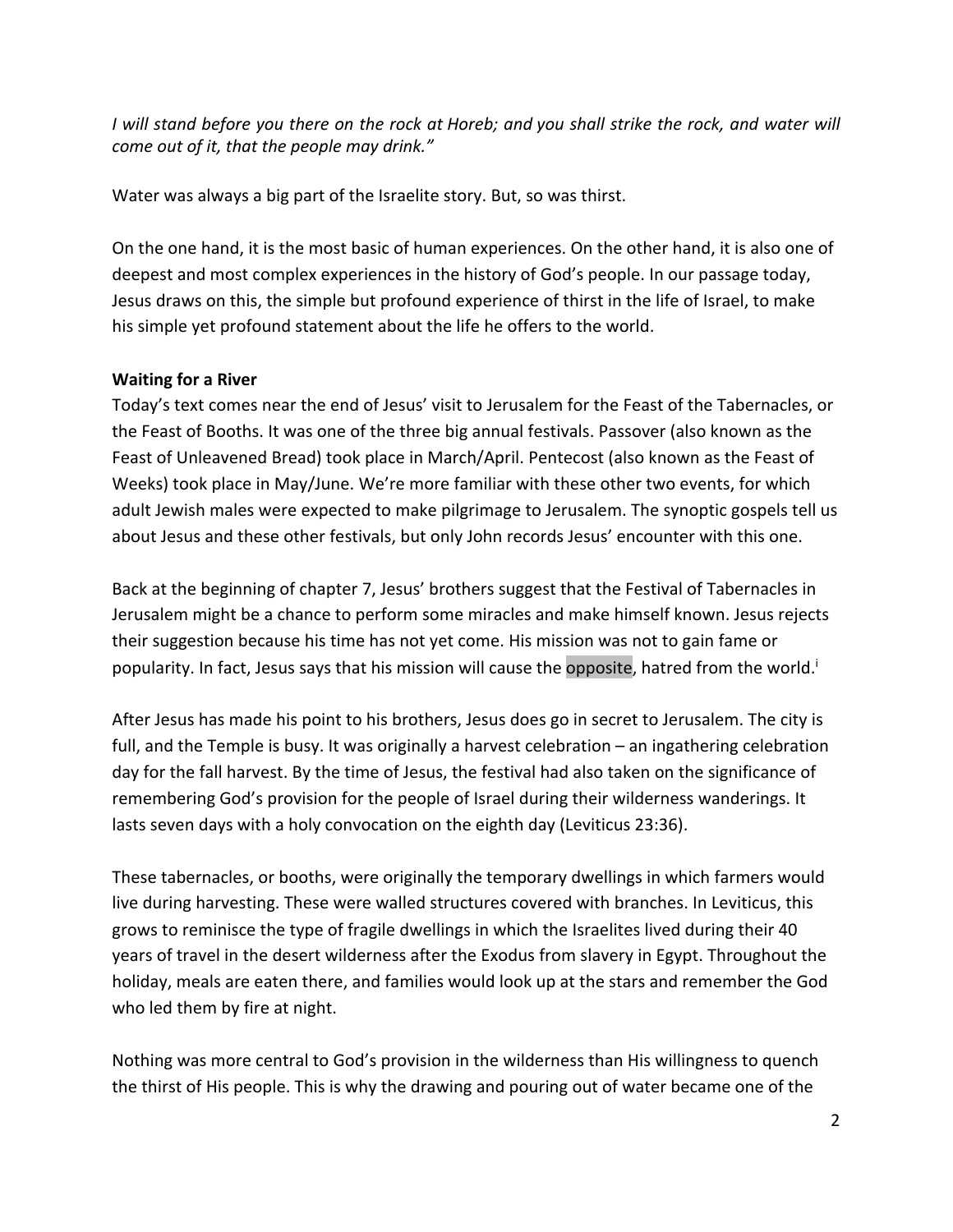*I will stand before you there on the rock at Horeb; and you shall strike the rock, and water will come out of it, that the people may drink."*

Water was always a big part of the Israelite story. But, so was thirst.

On the one hand, it is the most basic of human experiences. On the other hand, it is also one of deepest and most complex experiences in the history of God's people. In our passage today, Jesus draws on this, the simple but profound experience of thirst in the life of Israel, to make his simple yet profound statement about the life he offers to the world.

### **Waiting for a River**

Today's text comes near the end of Jesus' visit to Jerusalem for the Feast of the Tabernacles, or the Feast of Booths. It was one of the three big annual festivals. Passover (also known as the Feast of Unleavened Bread) took place in March/April. Pentecost (also known as the Feast of Weeks) took place in May/June. We're more familiar with these other two events, for which adult Jewish males were expected to make pilgrimage to Jerusalem. The synoptic gospels tell us about Jesus and these other festivals, but only John records Jesus' encounter with this one.

Back at the beginning of chapter 7, Jesus' brothers suggest that the Festival of Tabernacles in Jerusalem might be a chance to perform some miracles and make himself known. Jesus rejects their suggestion because his time has not yet come. His mission was not to gain fame or popularity. In fact, Jesus says that his mission will cause the opposite, hatred from the world.<sup>i</sup>

After Jesus has made his point to his brothers, Jesus does go in secret to Jerusalem. The city is full, and the Temple is busy. It was originally a harvest celebration – an ingathering celebration day for the fall harvest. By the time of Jesus, the festival had also taken on the significance of remembering God's provision for the people of Israel during their wilderness wanderings. It lasts seven days with a holy convocation on the eighth day (Leviticus 23:36).

These tabernacles, or booths, were originally the temporary dwellings in which farmers would live during harvesting. These were walled structures covered with branches. In Leviticus, this grows to reminisce the type of fragile dwellings in which the Israelites lived during their 40 years of travel in the desert wilderness after the Exodus from slavery in Egypt. Throughout the holiday, meals are eaten there, and families would look up at the stars and remember the God who led them by fire at night.

Nothing was more central to God's provision in the wilderness than His willingness to quench the thirst of His people. This is why the drawing and pouring out of water became one of the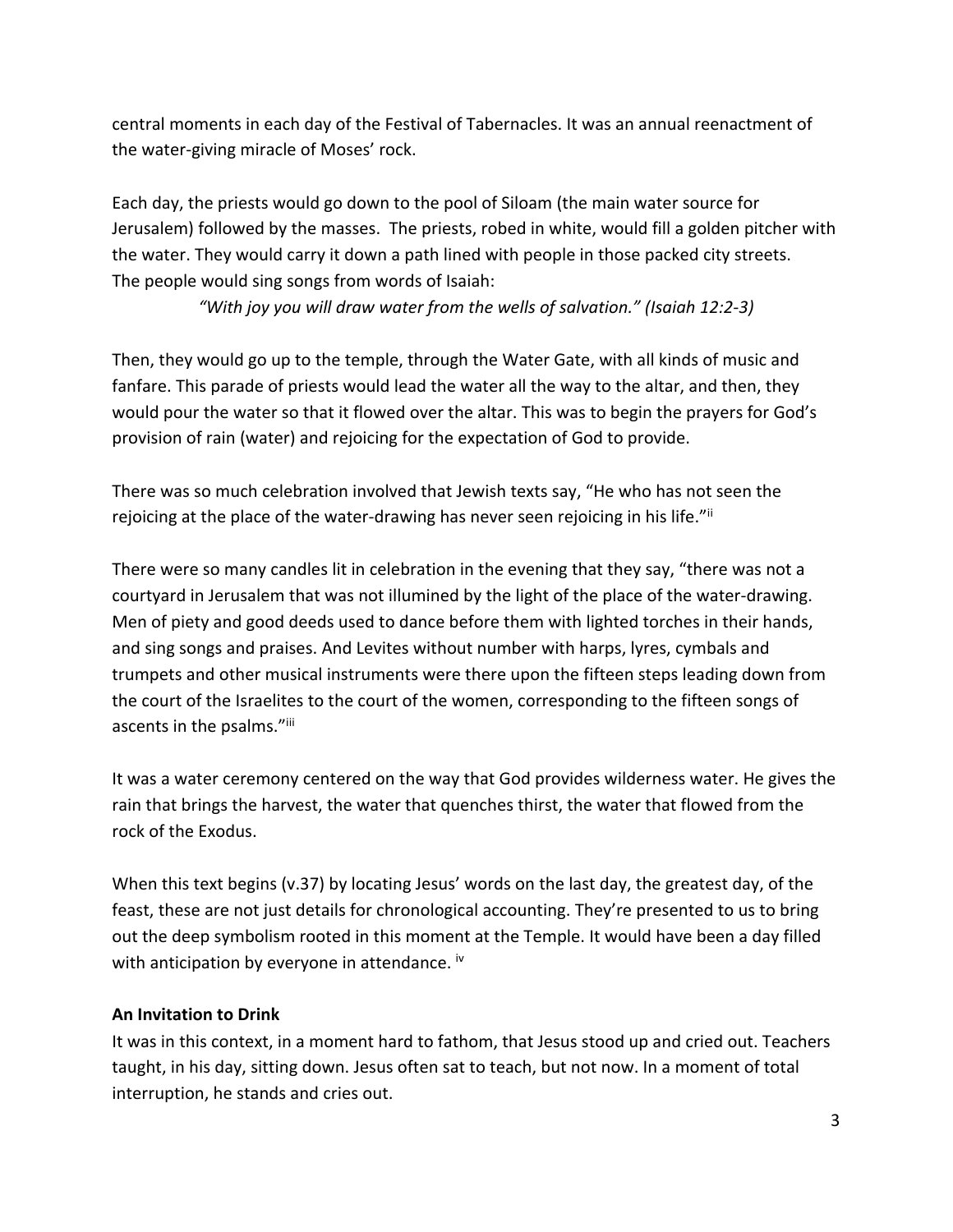central moments in each day of the Festival of Tabernacles. It was an annual reenactment of the water-giving miracle of Moses' rock.

Each day, the priests would go down to the pool of Siloam (the main water source for Jerusalem) followed by the masses. The priests, robed in white, would fill a golden pitcher with the water. They would carry it down a path lined with people in those packed city streets. The people would sing songs from words of Isaiah:

*"With joy you will draw water from the wells of salvation." (Isaiah 12:2-3)*

Then, they would go up to the temple, through the Water Gate, with all kinds of music and fanfare. This parade of priests would lead the water all the way to the altar, and then, they would pour the water so that it flowed over the altar. This was to begin the prayers for God's provision of rain (water) and rejoicing for the expectation of God to provide.

There was so much celebration involved that Jewish texts say, "He who has not seen the rejoicing at the place of the water-drawing has never seen rejoicing in his life." If

There were so many candles lit in celebration in the evening that they say, "there was not a courtyard in Jerusalem that was not illumined by the light of the place of the water-drawing. Men of piety and good deeds used to dance before them with lighted torches in their hands, and sing songs and praises. And Levites without number with harps, lyres, cymbals and trumpets and other musical instruments were there upon the fifteen steps leading down from the court of the Israelites to the court of the women, corresponding to the fifteen songs of ascents in the psalms."iii

It was a water ceremony centered on the way that God provides wilderness water. He gives the rain that brings the harvest, the water that quenches thirst, the water that flowed from the rock of the Exodus.

When this text begins (v.37) by locating Jesus' words on the last day, the greatest day, of the feast, these are not just details for chronological accounting. They're presented to us to bring out the deep symbolism rooted in this moment at the Temple. It would have been a day filled with anticipation by everyone in attendance. <sup>iv</sup>

### **An Invitation to Drink**

It was in this context, in a moment hard to fathom, that Jesus stood up and cried out. Teachers taught, in his day, sitting down. Jesus often sat to teach, but not now. In a moment of total interruption, he stands and cries out.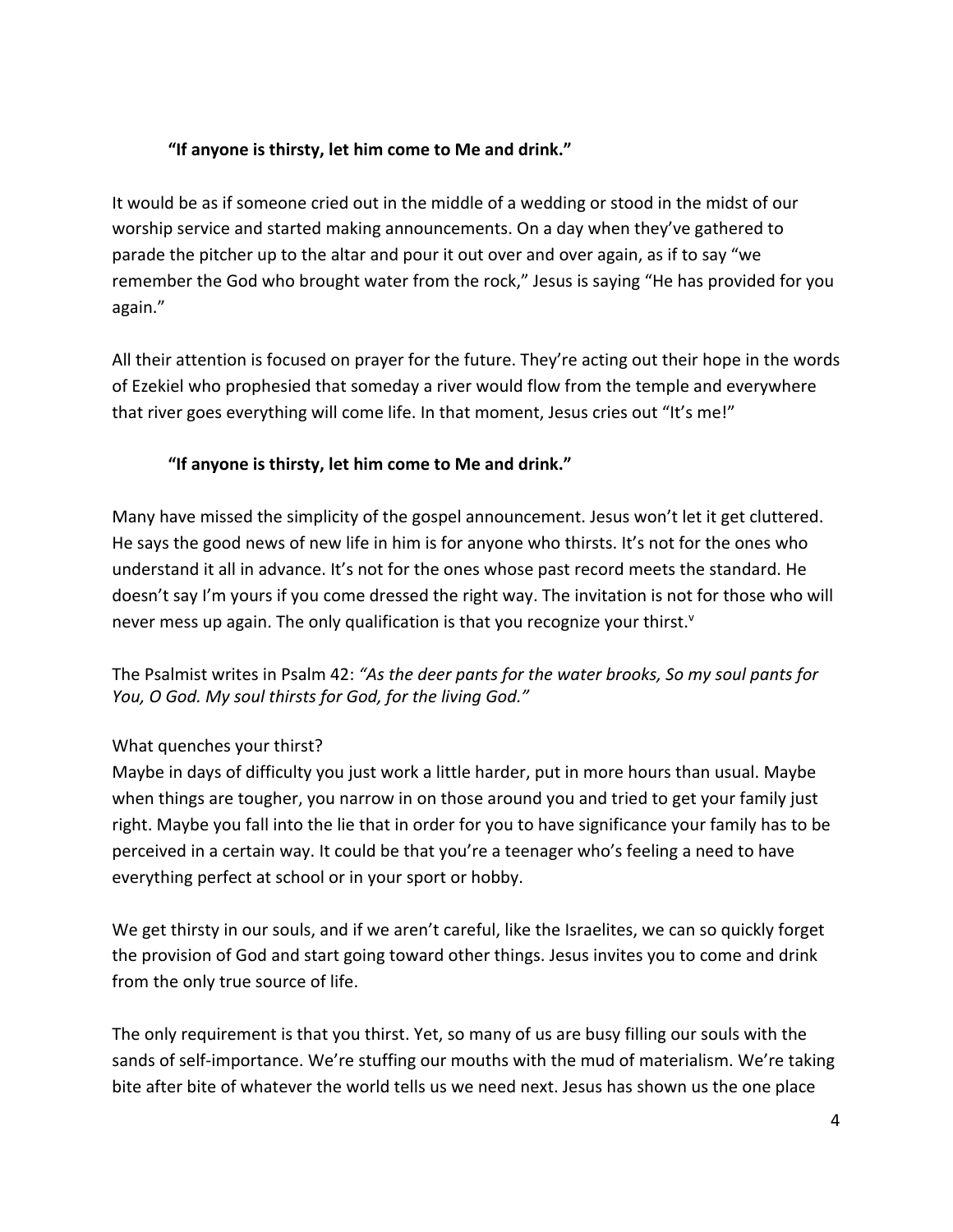## **"If anyone is thirsty, let him come to Me and drink."**

It would be as if someone cried out in the middle of a wedding or stood in the midst of our worship service and started making announcements. On a day when they've gathered to parade the pitcher up to the altar and pour it out over and over again, as if to say "we remember the God who brought water from the rock," Jesus is saying "He has provided for you again."

All their attention is focused on prayer for the future. They're acting out their hope in the words of Ezekiel who prophesied that someday a river would flow from the temple and everywhere that river goes everything will come life. In that moment, Jesus cries out "It's me!"

## **"If anyone is thirsty, let him come to Me and drink."**

Many have missed the simplicity of the gospel announcement. Jesus won't let it get cluttered. He says the good news of new life in him is for anyone who thirsts. It's not for the ones who understand it all in advance. It's not for the ones whose past record meets the standard. He doesn't say I'm yours if you come dressed the right way. The invitation is not for those who will never mess up again. The only qualification is that you recognize your thirst.<sup>v</sup>

The Psalmist writes in Psalm 42: *"As the deer pants for the water brooks, So my soul pants for You, O God. My soul thirsts for God, for the living God."*

# What quenches your thirst?

Maybe in days of difficulty you just work a little harder, put in more hours than usual. Maybe when things are tougher, you narrow in on those around you and tried to get your family just right. Maybe you fall into the lie that in order for you to have significance your family has to be perceived in a certain way. It could be that you're a teenager who's feeling a need to have everything perfect at school or in your sport or hobby.

We get thirsty in our souls, and if we aren't careful, like the Israelites, we can so quickly forget the provision of God and start going toward other things. Jesus invites you to come and drink from the only true source of life.

The only requirement is that you thirst. Yet, so many of us are busy filling our souls with the sands of self-importance. We're stuffing our mouths with the mud of materialism. We're taking bite after bite of whatever the world tells us we need next. Jesus has shown us the one place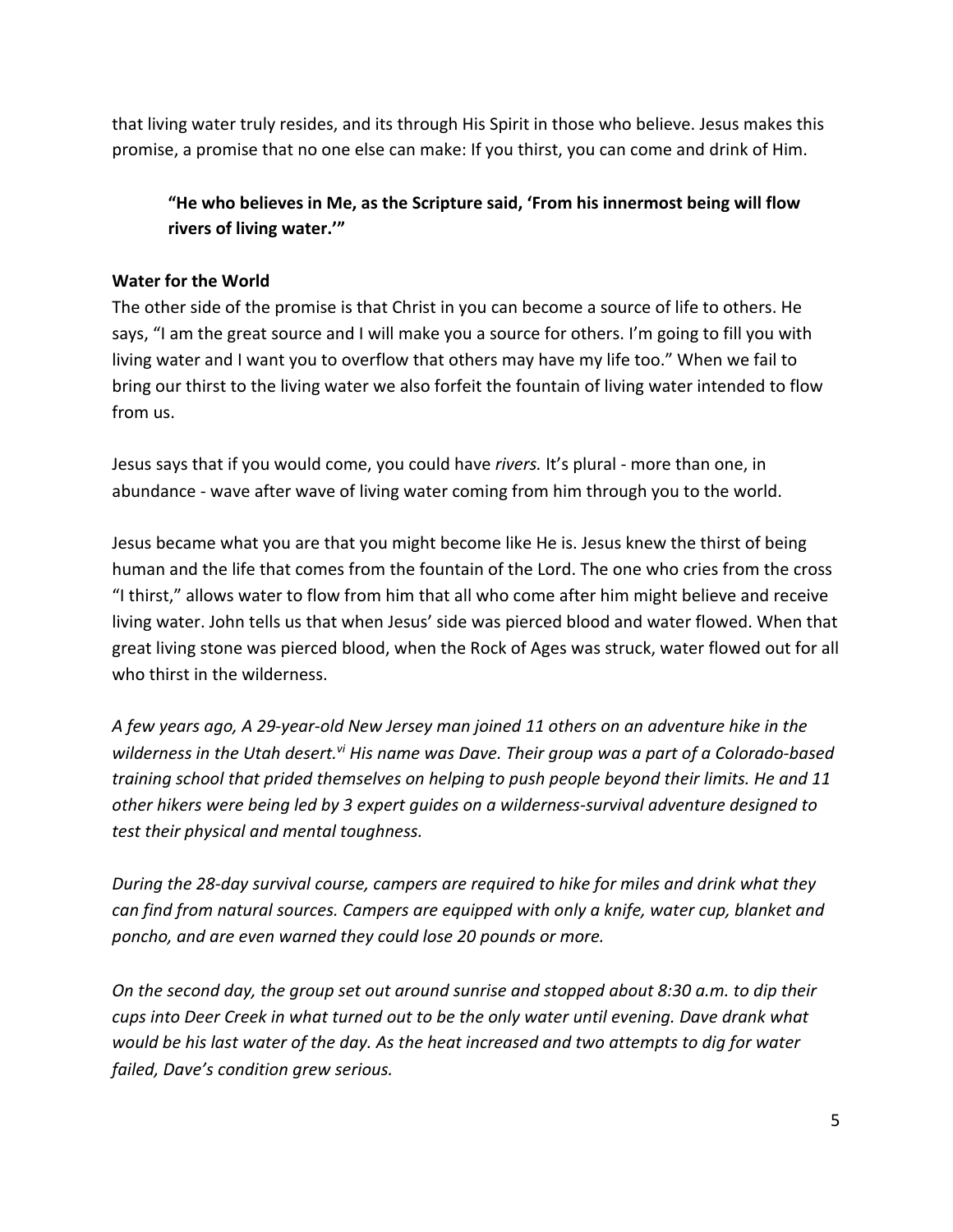that living water truly resides, and its through His Spirit in those who believe. Jesus makes this promise, a promise that no one else can make: If you thirst, you can come and drink of Him.

**"He who believes in Me, as the Scripture said, 'From his innermost being will flow rivers of living water.'"**

#### **Water for the World**

The other side of the promise is that Christ in you can become a source of life to others. He says, "I am the great source and I will make you a source for others. I'm going to fill you with living water and I want you to overflow that others may have my life too." When we fail to bring our thirst to the living water we also forfeit the fountain of living water intended to flow from us.

Jesus says that if you would come, you could have *rivers.* It's plural - more than one, in abundance - wave after wave of living water coming from him through you to the world.

Jesus became what you are that you might become like He is. Jesus knew the thirst of being human and the life that comes from the fountain of the Lord. The one who cries from the cross "I thirst," allows water to flow from him that all who come after him might believe and receive living water. John tells us that when Jesus' side was pierced blood and water flowed. When that great living stone was pierced blood, when the Rock of Ages was struck, water flowed out for all who thirst in the wilderness.

*A few years ago, A 29-year-old New Jersey man joined 11 others on an adventure hike in the*  wilderness in the Utah desert.<sup>vi</sup> His name was Dave. Their group was a part of a Colorado-based *training school that prided themselves on helping to push people beyond their limits. He and 11 other hikers were being led by 3 expert guides on a wilderness-survival adventure designed to test their physical and mental toughness.*

*During the 28-day survival course, campers are required to hike for miles and drink what they can find from natural sources. Campers are equipped with only a knife, water cup, blanket and poncho, and are even warned they could lose 20 pounds or more.* 

*On the second day, the group set out around sunrise and stopped about 8:30 a.m. to dip their cups into Deer Creek in what turned out to be the only water until evening. Dave drank what would be his last water of the day. As the heat increased and two attempts to dig for water failed, Dave's condition grew serious.*